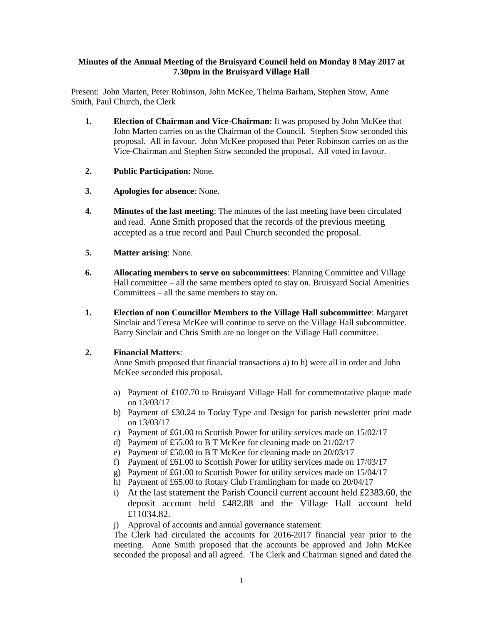## **Minutes of the Annual Meeting of the Bruisyard Council held on Monday 8 May 2017 at 7.30pm in the Bruisyard Village Hall**

Present: John Marten, Peter Robinson, John McKee, Thelma Barham, Stephen Stow, Anne Smith, Paul Church, the Clerk

- **1. Election of Chairman and Vice-Chairman:** It was proposed by John McKee that John Marten carries on as the Chairman of the Council. Stephen Stow seconded this proposal. All in favour. John McKee proposed that Peter Robinson carries on as the Vice-Chairman and Stephen Stow seconded the proposal. All voted in favour.
- **2. Public Participation:** None.
- **3. Apologies for absence**: None.
- **4. Minutes of the last meeting**: The minutes of the last meeting have been circulated and read. Anne Smith proposed that the records of the previous meeting accepted as a true record and Paul Church seconded the proposal.
- **5. Matter arising**: None.
- **6. Allocating members to serve on subcommittees**: Planning Committee and Village Hall committee – all the same members opted to stay on. Bruisyard Social Amenities Committees – all the same members to stay on.
- **1. Election of non Councillor Members to the Village Hall subcommittee**: Margaret Sinclair and Teresa McKee will continue to serve on the Village Hall subcommittee. Barry Sinclair and Chris Smith are no longer on the Village Hall committee.

## **2. Financial Matters**:

Anne Smith proposed that financial transactions a) to h) were all in order and John McKee seconded this proposal.

- a) Payment of  $£107.70$  to Bruisyard Village Hall for commemorative plaque made on 13/03/17
- b) Payment of £30.24 to Today Type and Design for parish newsletter print made on 13/03/17
- c) Payment of £61.00 to Scottish Power for utility services made on 15/02/17
- d) Payment of £55.00 to B T McKee for cleaning made on 21/02/17
- e) Payment of £50.00 to B T McKee for cleaning made on 20/03/17
- f) Payment of £61.00 to Scottish Power for utility services made on 17/03/17
- g) Payment of £61.00 to Scottish Power for utility services made on 15/04/17
- h) Payment of £65.00 to Rotary Club Framlingham for made on 20/04/17
- i) At the last statement the Parish Council current account held £2383.60, the deposit account held £482.88 and the Village Hall account held £11034.82.
- j) Approval of accounts and annual governance statement:

The Clerk had circulated the accounts for 2016-2017 financial year prior to the meeting. Anne Smith proposed that the accounts be approved and John McKee seconded the proposal and all agreed. The Clerk and Chairman signed and dated the